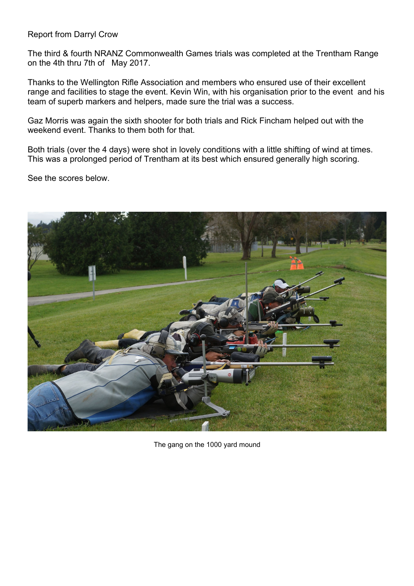## Report from Darryl Crow

The third & fourth NRANZ Commonwealth Games trials was completed at the Trentham Range on the 4th thru 7th of May 2017.

Thanks to the Wellington Rifle Association and members who ensured use of their excellent range and facilities to stage the event. Kevin Win, with his organisation prior to the event and his team of superb markers and helpers, made sure the trial was a success.

Gaz Morris was again the sixth shooter for both trials and Rick Fincham helped out with the weekend event. Thanks to them both for that.

Both trials (over the 4 days) were shot in lovely conditions with a little shifting of wind at times. This was a prolonged period of Trentham at its best which ensured generally high scoring.

See the scores below.



The gang on the 1000 yard mound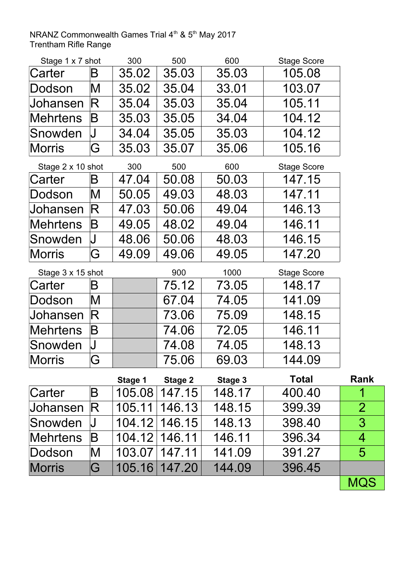## Trentham Rifle Range NRANZ Commonwealth Games Trial  $4<sup>th</sup>$  & 5<sup>th</sup> May 2017

| Stage 1 x 7 shot  |                   | 300     | 500            | 600     | <b>Stage Score</b> |                |
|-------------------|-------------------|---------|----------------|---------|--------------------|----------------|
| Carter            | B                 | 35.02   | 35.03          | 35.03   | 105.08             |                |
| Dodson            | M                 | 35.02   | 35.04          | 33.01   | 103.07             |                |
| Johansen          | $\bm{\mathsf{R}}$ | 35.04   | 35.03          | 35.04   | 105.11             |                |
| <b>Mehrtens</b>   | Β                 | 35.03   | 35.05          | 34.04   | 104.12             |                |
| Snowden           | J                 | 34.04   | 35.05          | 35.03   | 104.12             |                |
| <b>Morris</b>     | G                 | 35.03   | 35.07          | 35.06   | 105.16             |                |
| Stage 2 x 10 shot |                   | 300     | 500            | 600     | <b>Stage Score</b> |                |
| Carter            | B                 | 47.04   | 50.08          | 50.03   | 147.15             |                |
| Dodson            | M                 | 50.05   | 49.03          | 48.03   | 147.11             |                |
| Johansen          | $\bm{\mathsf{R}}$ | 47.03   | 50.06          | 49.04   | 146.13             |                |
| <b>Mehrtens</b>   | Β                 | 49.05   | 48.02          | 49.04   | 146.11             |                |
| Snowden           | J                 | 48.06   | 50.06          | 48.03   | 146.15             |                |
| <b>Morris</b>     | G                 | 49.09   | 49.06          | 49.05   | 147.20             |                |
| Stage 3 x 15 shot |                   |         | 900            | 1000    | <b>Stage Score</b> |                |
| Carter            | B                 |         | 75.12          | 73.05   | 148.17             |                |
| Dodson            | M                 |         | 67.04          | 74.05   | 141.09             |                |
| Johansen          | $\bm{\mathsf{R}}$ |         | 73.06          | 75.09   | 148.15             |                |
| <b>Mehrtens</b>   | Β                 |         | 74.06          | 72.05   | 146.11             |                |
| Snowden           | J                 |         | 74.08          | 74.05   | 148.13             |                |
| <b>Morris</b>     | G                 |         | 75.06          | 69.03   | 144.09             |                |
|                   |                   | Stage 1 | <b>Stage 2</b> | Stage 3 | <b>Total</b>       | <b>Rank</b>    |
| Carter            | Β                 | 105.08  | 147.15         | 148.17  | 400.40             | 1              |
| Johansen          | $\bm{\mathsf{R}}$ | 105.11  | 146.13         | 148.15  | 399.39             | $\overline{2}$ |
| Snowden           | J                 | 104.12  | 146.15         | 148.13  | 398.40             | 3              |
| <b>Mehrtens</b>   | Β                 | 104.12  | 146.11         | 146.11  | 396.34             | 4              |
| Dodson            | M                 | 103.07  | 147.11         | 141.09  | 391.27             | 5              |
| <b>Morris</b>     | G                 | 105.16  | 147.20         | 144.09  | 396.45             |                |
|                   |                   |         |                |         |                    | MQS            |